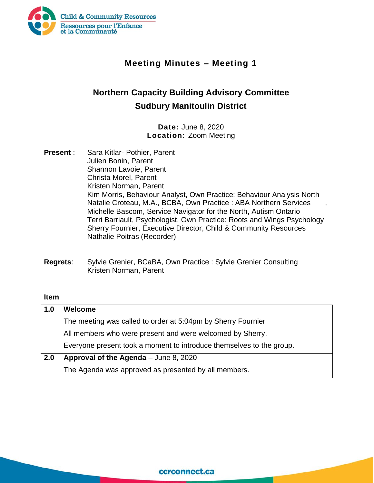

## **Meeting Minutes – Meeting 1**

# **Northern Capacity Building Advisory Committee Sudbury Manitoulin District**

#### **Date:** June 8, 2020 **Location:** Zoom Meeting

- **Present** : Sara Kitlar- Pothier, Parent Julien Bonin, Parent Shannon Lavoie, Parent Christa Morel, Parent Kristen Norman, Parent Kim Morris, Behaviour Analyst, Own Practice: Behaviour Analysis North Natalie Croteau, M.A., BCBA, Own Practice : ABA Northern Services , Michelle Bascom, Service Navigator for the North, Autism Ontario Terri Barriault, Psychologist, Own Practice: Roots and Wings Psychology Sherry Fournier, Executive Director, Child & Community Resources Nathalie Poitras (Recorder)
- **Regrets**: Sylvie Grenier, BCaBA, Own Practice : Sylvie Grenier Consulting Kristen Norman, Parent

#### **Item**

| 1.0 | <b>Welcome</b>                                                       |
|-----|----------------------------------------------------------------------|
|     | The meeting was called to order at 5:04pm by Sherry Fournier         |
|     | All members who were present and were welcomed by Sherry.            |
|     | Everyone present took a moment to introduce themselves to the group. |
| 2.0 | Approval of the Agenda - June 8, 2020                                |
|     | The Agenda was approved as presented by all members.                 |

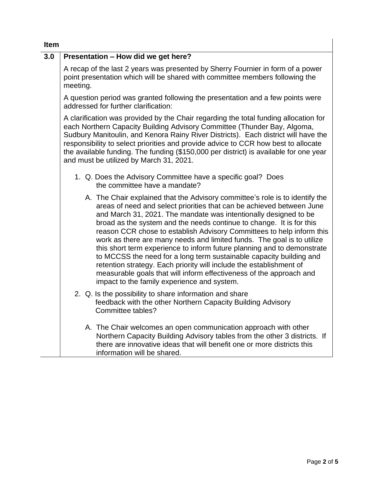| וווסוו |                                                                                                                                                                                                                                                                                                                                                                                                                                                                                                                                                                                                                                                                                                                                                                                                     |
|--------|-----------------------------------------------------------------------------------------------------------------------------------------------------------------------------------------------------------------------------------------------------------------------------------------------------------------------------------------------------------------------------------------------------------------------------------------------------------------------------------------------------------------------------------------------------------------------------------------------------------------------------------------------------------------------------------------------------------------------------------------------------------------------------------------------------|
| 3.0    | Presentation - How did we get here?                                                                                                                                                                                                                                                                                                                                                                                                                                                                                                                                                                                                                                                                                                                                                                 |
|        | A recap of the last 2 years was presented by Sherry Fournier in form of a power<br>point presentation which will be shared with committee members following the<br>meeting.                                                                                                                                                                                                                                                                                                                                                                                                                                                                                                                                                                                                                         |
|        | A question period was granted following the presentation and a few points were<br>addressed for further clarification:                                                                                                                                                                                                                                                                                                                                                                                                                                                                                                                                                                                                                                                                              |
|        | A clarification was provided by the Chair regarding the total funding allocation for<br>each Northern Capacity Building Advisory Committee (Thunder Bay, Algoma,<br>Sudbury Manitoulin, and Kenora Rainy River Districts). Each district will have the<br>responsibility to select priorities and provide advice to CCR how best to allocate<br>the available funding. The funding (\$150,000 per district) is available for one year<br>and must be utilized by March 31, 2021.                                                                                                                                                                                                                                                                                                                    |
|        | 1. Q. Does the Advisory Committee have a specific goal? Does<br>the committee have a mandate?                                                                                                                                                                                                                                                                                                                                                                                                                                                                                                                                                                                                                                                                                                       |
|        | A. The Chair explained that the Advisory committee's role is to identify the<br>areas of need and select priorities that can be achieved between June<br>and March 31, 2021. The mandate was intentionally designed to be<br>broad as the system and the needs continue to change. It is for this<br>reason CCR chose to establish Advisory Committees to help inform this<br>work as there are many needs and limited funds. The goal is to utilize<br>this short term experience to inform future planning and to demonstrate<br>to MCCSS the need for a long term sustainable capacity building and<br>retention strategy. Each priority will include the establishment of<br>measurable goals that will inform effectiveness of the approach and<br>impact to the family experience and system. |
|        | 2. Q. Is the possibility to share information and share<br>feedback with the other Northern Capacity Building Advisory<br>Committee tables?                                                                                                                                                                                                                                                                                                                                                                                                                                                                                                                                                                                                                                                         |
|        | A. The Chair welcomes an open communication approach with other<br>Northern Capacity Building Advisory tables from the other 3 districts. If<br>there are innovative ideas that will benefit one or more districts this<br>information will be shared.                                                                                                                                                                                                                                                                                                                                                                                                                                                                                                                                              |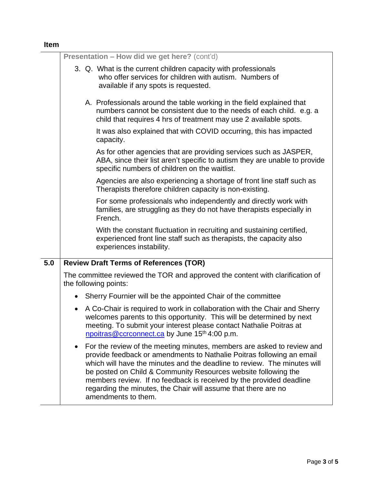### **Item Presentation – How did we get here?** (cont'd) 3. Q. What is the current children capacity with professionals who offer services for children with autism. Numbers of available if any spots is requested. A. Professionals around the table working in the field explained that numbers cannot be consistent due to the needs of each child. e.g. a child that requires 4 hrs of treatment may use 2 available spots. It was also explained that with COVID occurring, this has impacted capacity. As for other agencies that are providing services such as JASPER, ABA, since their list aren't specific to autism they are unable to provide specific numbers of children on the waitlist. Agencies are also experiencing a shortage of front line staff such as Therapists therefore children capacity is non-existing. For some professionals who independently and directly work with families, are struggling as they do not have therapists especially in French. With the constant fluctuation in recruiting and sustaining certified, experienced front line staff such as therapists, the capacity also experiences instability. **5.0 Review Draft Terms of References (TOR)** The committee reviewed the TOR and approved the content with clarification of the following points: • Sherry Fournier will be the appointed Chair of the committee • A Co-Chair is required to work in collaboration with the Chair and Sherry welcomes parents to this opportunity. This will be determined by next meeting. To submit your interest please contact Nathalie Poitras at npoitras @ccrconnect.ca by June  $15<sup>th</sup> 4:00$  p.m. • For the review of the meeting minutes, members are asked to review and provide feedback or amendments to Nathalie Poitras following an email which will have the minutes and the deadline to review. The minutes will be posted on Child & Community Resources website following the members review. If no feedback is received by the provided deadline regarding the minutes, the Chair will assume that there are no amendments to them.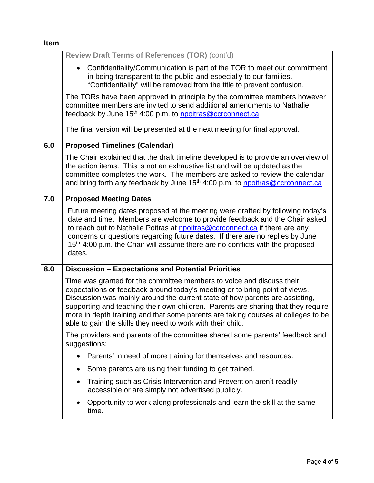| ۰,<br>- 1<br>$\sim$ |
|---------------------|
|---------------------|

|     | Review Draft Terms of References (TOR) (cont'd)                                                                                                                                                                                                                                                                                                                                                                                                                               |
|-----|-------------------------------------------------------------------------------------------------------------------------------------------------------------------------------------------------------------------------------------------------------------------------------------------------------------------------------------------------------------------------------------------------------------------------------------------------------------------------------|
|     | Confidentiality/Communication is part of the TOR to meet our commitment<br>$\bullet$<br>in being transparent to the public and especially to our families.<br>"Confidentiality" will be removed from the title to prevent confusion.                                                                                                                                                                                                                                          |
|     | The TORs have been approved in principle by the committee members however<br>committee members are invited to send additional amendments to Nathalie<br>feedback by June 15 <sup>th</sup> 4:00 p.m. to <b>npoitras@ccrconnect.ca</b>                                                                                                                                                                                                                                          |
|     | The final version will be presented at the next meeting for final approval.                                                                                                                                                                                                                                                                                                                                                                                                   |
| 6.0 | <b>Proposed Timelines (Calendar)</b>                                                                                                                                                                                                                                                                                                                                                                                                                                          |
|     | The Chair explained that the draft timeline developed is to provide an overview of<br>the action items. This is not an exhaustive list and will be updated as the<br>committee completes the work. The members are asked to review the calendar<br>and bring forth any feedback by June 15 <sup>th</sup> 4:00 p.m. to npoitras@ccrconnect.ca                                                                                                                                  |
| 7.0 | <b>Proposed Meeting Dates</b>                                                                                                                                                                                                                                                                                                                                                                                                                                                 |
|     | Future meeting dates proposed at the meeting were drafted by following today's<br>date and time. Members are welcome to provide feedback and the Chair asked<br>to reach out to Nathalie Poitras at <b>npoitras@ccrconnect.ca</b> if there are any<br>concerns or questions regarding future dates. If there are no replies by June<br>15 <sup>th</sup> 4:00 p.m. the Chair will assume there are no conflicts with the proposed<br>dates.                                    |
| 8.0 | <b>Discussion - Expectations and Potential Priorities</b>                                                                                                                                                                                                                                                                                                                                                                                                                     |
|     | Time was granted for the committee members to voice and discuss their<br>expectations or feedback around today's meeting or to bring point of views.<br>Discussion was mainly around the current state of how parents are assisting,<br>supporting and teaching their own children. Parents are sharing that they require<br>more in depth training and that some parents are taking courses at colleges to be<br>able to gain the skills they need to work with their child. |
|     | The providers and parents of the committee shared some parents' feedback and<br>suggestions:                                                                                                                                                                                                                                                                                                                                                                                  |
|     | Parents' in need of more training for themselves and resources.<br>$\bullet$                                                                                                                                                                                                                                                                                                                                                                                                  |
|     | Some parents are using their funding to get trained.<br>$\bullet$                                                                                                                                                                                                                                                                                                                                                                                                             |
|     | Training such as Crisis Intervention and Prevention aren't readily<br>$\bullet$<br>accessible or are simply not advertised publicly.                                                                                                                                                                                                                                                                                                                                          |
|     | Opportunity to work along professionals and learn the skill at the same<br>time.                                                                                                                                                                                                                                                                                                                                                                                              |